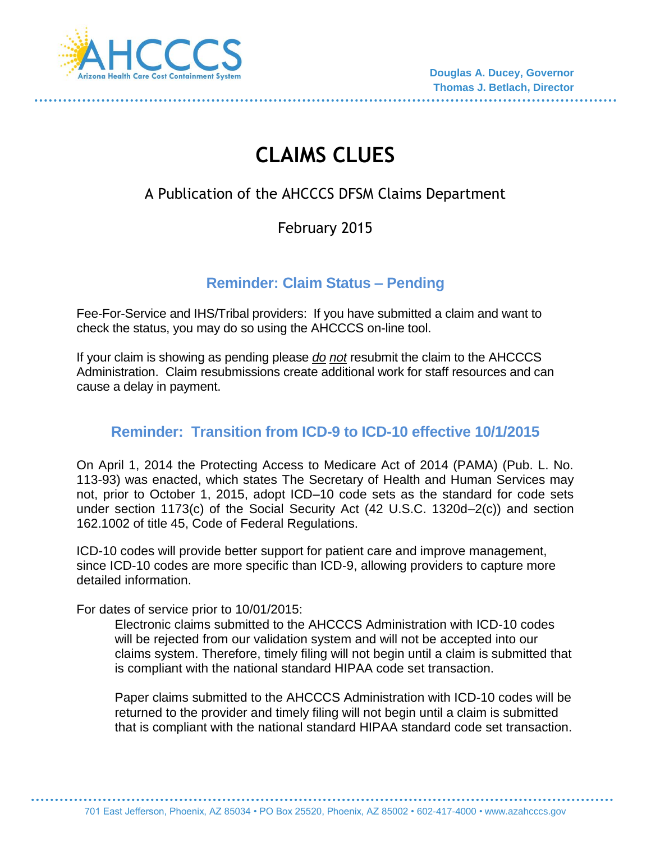

# **CLAIMS CLUES**

# A Publication of the AHCCCS DFSM Claims Department

# February 2015

#### **Reminder: Claim Status – Pending**

Fee-For-Service and IHS/Tribal providers: If you have submitted a claim and want to check the status, you may do so using the AHCCCS on-line tool.

If your claim is showing as pending please *do not* resubmit the claim to the AHCCCS Administration. Claim resubmissions create additional work for staff resources and can cause a delay in payment.

# **Reminder: Transition from ICD-9 to ICD-10 effective 10/1/2015**

On April 1, 2014 the Protecting Access to Medicare Act of 2014 (PAMA) (Pub. L. No. 113-93) was enacted, which states The Secretary of Health and Human Services may not, prior to October 1, 2015, adopt ICD–10 code sets as the standard for code sets under section 1173(c) of the Social Security Act (42 U.S.C. 1320d–2(c)) and section 162.1002 of title 45, Code of Federal Regulations.

ICD-10 codes will provide better support for patient care and improve management, since ICD-10 codes are more specific than ICD-9, allowing providers to capture more detailed information.

For dates of service prior to 10/01/2015:

Electronic claims submitted to the AHCCCS Administration with ICD-10 codes will be rejected from our validation system and will not be accepted into our claims system. Therefore, timely filing will not begin until a claim is submitted that is compliant with the national standard HIPAA code set transaction.

Paper claims submitted to the AHCCCS Administration with ICD-10 codes will be returned to the provider and timely filing will not begin until a claim is submitted that is compliant with the national standard HIPAA standard code set transaction.